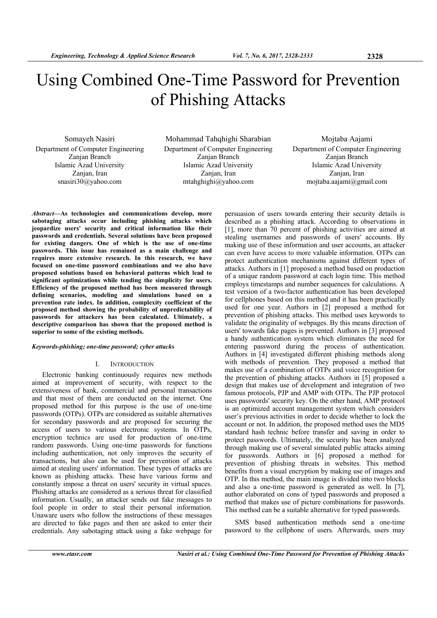# Using Combined One-Time Password for Prevention of Phishing Attacks

Somayeh Nasiri Department of Computer Engineering Zanjan Branch Islamic Azad University Zanjan, Iran snasiri30@yahoo.com

Mohammad Tahqhighi Sharabian Department of Computer Engineering Zanjan Branch Islamic Azad University Zanjan, Iran mtahghighi@yahoo.com

Mojtaba Aajami Department of Computer Engineering Zanjan Branch Islamic Azad University Zanjan, Iran mojtaba.aajami@gmail.com

*Abstract***—Αs technologies and communications develop, more sabotaging attacks occur including phishing attacks which jeopardize users' security and critical information like their passwords and credentials. Several solutions have been proposed for existing dangers. One of which is the use of one-time passwords. This issue has remained as a main challenge and requires more extensive research. In this research, we have focused on one-time password combinations and we also have proposed solutions based on behavioral patterns which lead to significant optimizations while tending the simplicity for users. Efficiency of the proposed method has been measured through defining scenarios, modeling and simulations based on a prevention rate index. In addition, complexity coefficient of the proposed method showing the probability of unpredictability of passwords for attackers has been calculated. Ultimately, a descriptive comparison has shown that the proposed method is superior to some of the existing methods.** 

## *Keywords-phishing; one-time password; cyber attacks*

## I. INTRODUCTION

Electronic banking continuously requires new methods aimed at improvement of security, with respect to the extensiveness of bank, commercial and personal transactions and that most of them are conducted on the internet. One proposed method for this purpose is the use of one-time passwords (OTPs). OTPs are considered as suitable alternatives for secondary passwords and are proposed for securing the access of users to various electronic systems. In OTPs, encryption technics are used for production of one-time random passwords. Using one-time passwords for functions including authentication, not only improves the security of transactions, but also can be used for prevention of attacks aimed at stealing users' information. These types of attacks are known as phishing attacks. These have various forms and constantly impose a threat on users' security in virtual spaces. Phishing attacks are considered as a serious threat for classified information. Usually, an attacker sends out fake messages to fool people in order to steal their personal information. Unaware users who follow the instructions of these messages are directed to fake pages and then are asked to enter their credentials. Any sabotaging attack using a fake webpage for

persuasion of users towards entering their security details is described as a phishing attack. According to observations in [1], more than 70 percent of phishing activities are aimed at stealing usernames and passwords of users' accounts. By making use of these information and user accounts, an attacker can even have access to more valuable information. OTPs can protect authentication mechanisms against different types of attacks. Authors in [1] proposed a method based on production of a unique random password at each login time. This method employs timestamps and number sequences for calculations. A test version of a two-factor authentication has been developed for cellphones based on this method and it has been practically used for one year. Authors in [2] proposed a method for prevention of phishing attacks. This method uses keywords to validate the originality of webpages. By this means direction of users' towards fake pages is prevented. Authors in [3] proposed a handy authentication system which eliminates the need for entering password during the process of authentication. Authors in [4] investigated different phishing methods along with methods of prevention. They proposed a method that makes use of a combination of OTPs and voice recognition for the prevention of phishing attacks. Authors in [5] proposed a design that makes use of development and integration of two famous protocols, PJP and AMP with OTPs. The PJP protocol uses passwords' security key. On the other hand, AMP protocol is an optimized account management system which considers user's previous activities in order to decide whether to lock the account or not. In addition, the proposed method uses the MD5 standard hash technic before transfer and saving in order to protect passwords. Ultimately, the security has been analyzed through making use of several simulated public attacks aiming for passwords. Authors in [6] proposed a method for prevention of phishing threats in websites. This method benefits from a visual encryption by making use of images and OTP. In this method, the main image is divided into two blocks and also a one-time password is generated as well. In [7], author elaborated on cons of typed passwords and proposed a method that makes use of picture combinations for passwords. This method can be a suitable alternative for typed passwords.

SMS based authentication methods send a one-time password to the cellphone of users. Afterwards, users may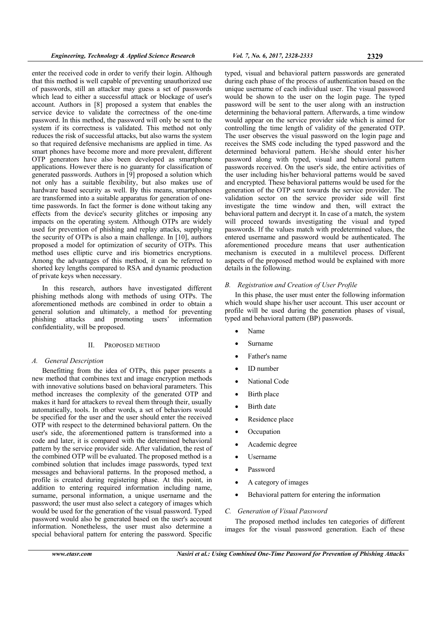enter the received code in order to verify their login. Although that this method is well capable of preventing unauthorized use of passwords, still an attacker may guess a set of passwords which lead to either a successful attack or blockage of user's account. Authors in [8] proposed a system that enables the service device to validate the correctness of the one-time password. In this method, the password will only be sent to the system if its correctness is validated. This method not only reduces the risk of successful attacks, but also warns the system so that required defensive mechanisms are applied in time. As smart phones have become more and more prevalent, different OTP generators have also been developed as smartphone applications. However there is no guaranty for classification of generated passwords. Authors in [9] proposed a solution which not only has a suitable flexibility, but also makes use of hardware based security as well. By this means, smartphones are transformed into a suitable apparatus for generation of onetime passwords. In fact the former is done without taking any effects from the device's security glitches or imposing any impacts on the operating system. Although OTPs are widely used for prevention of phishing and replay attacks, supplying the security of OTPs is also a main challenge. In [10], authors proposed a model for optimization of security of OTPs. This method uses elliptic curve and iris biometrics encryptions. Among the advantages of this method, it can be referred to shorted key lengths compared to RSA and dynamic production of private keys when necessary.

In this research, authors have investigated different phishing methods along with methods of using OTPs. The aforementioned methods are combined in order to obtain a general solution and ultimately, a method for preventing phishing attacks and promoting users' information confidentiality, will be proposed.

# II. PROPOSED METHOD

# *A. General Description*

Benefitting from the idea of OTPs, this paper presents a new method that combines text and image encryption methods with innovative solutions based on behavioral parameters. This method increases the complexity of the generated OTP and makes it hard for attackers to reveal them through their, usually automatically, tools. In other words, a set of behaviors would be specified for the user and the user should enter the received OTP with respect to the determined behavioral pattern. On the user's side, the aforementioned pattern is transformed into a code and later, it is compared with the determined behavioral pattern by the service provider side. After validation, the rest of the combined OTP will be evaluated. The proposed method is a combined solution that includes image passwords, typed text messages and behavioral patterns. In the proposed method, a profile is created during registering phase. At this point, in addition to entering required information including name, surname, personal information, a unique username and the password; the user must also select a category of images which would be used for the generation of the visual password. Typed password would also be generated based on the user's account information. Nonetheless, the user must also determine a special behavioral pattern for entering the password. Specific

typed, visual and behavioral pattern passwords are generated during each phase of the process of authentication based on the unique username of each individual user. The visual password would be shown to the user on the login page. The typed password will be sent to the user along with an instruction determining the behavioral pattern. Afterwards, a time window would appear on the service provider side which is aimed for controlling the time length of validity of the generated OTP. The user observes the visual password on the login page and receives the SMS code including the typed password and the determined behavioral pattern. He/she should enter his/her password along with typed, visual and behavioral pattern passwords received. On the user's side, the entire activities of the user including his/her behavioral patterns would be saved and encrypted. These behavioral patterns would be used for the generation of the OTP sent towards the service provider. The validation sector on the service provider side will first investigate the time window and then, will extract the behavioral pattern and decrypt it. In case of a match, the system will proceed towards investigating the visual and typed passwords. If the values match with predetermined values, the entered username and password would be authenticated. The aforementioned procedure means that user authentication mechanism is executed in a multilevel process. Different aspects of the proposed method would be explained with more details in the following.

# *B. Registration and Creation of User Profile*

In this phase, the user must enter the following information which would shape his/her user account. This user account or profile will be used during the generation phases of visual, typed and behavioral pattern (BP) passwords.

- Name
- Surname
- Father's name
- ID number
- National Code
- Birth place
- Birth date
- Residence place
- **Occupation**
- Academic degree
- Username
- Password
- A category of images
- Behavioral pattern for entering the information

# *C. Generation of Visual Password*

The proposed method includes ten categories of different images for the visual password generation. Each of these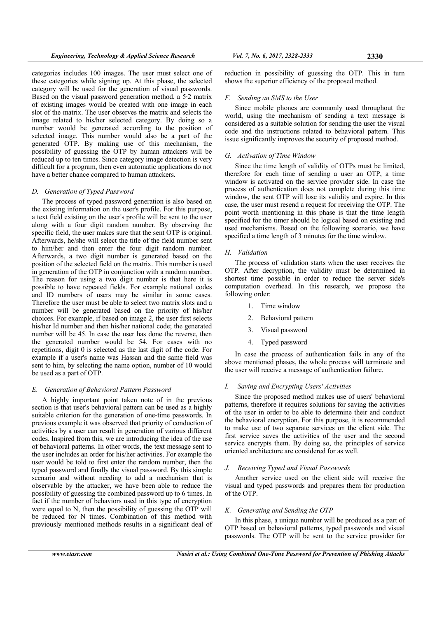categories includes 100 images. The user must select one of these categories while signing up. At this phase, the selected category will be used for the generation of visual passwords. Based on the visual password generation method, a 5·2 matrix of existing images would be created with one image in each slot of the matrix. The user observes the matrix and selects the image related to his/her selected category. By doing so a number would be generated according to the position of selected image. This number would also be a part of the generated OTP. By making use of this mechanism, the possibility of guessing the OTP by human attackers will be reduced up to ten times. Since category image detection is very difficult for a program, then even automatic applications do not have a better chance compared to human attackers.

## *D. Generation of Typed Password*

The process of typed password generation is also based on the existing information on the user's profile. For this purpose, a text field existing on the user's profile will be sent to the user along with a four digit random number. By observing the specific field, the user makes sure that the sent OTP is original. Afterwards, he/she will select the title of the field number sent to him/her and then enter the four digit random number. Afterwards, a two digit number is generated based on the position of the selected field on the matrix. This number is used in generation of the OTP in conjunction with a random number. The reason for using a two digit number is that here it is possible to have repeated fields. For example national codes and ID numbers of users may be similar in some cases. Therefore the user must be able to select two matrix slots and a number will be generated based on the priority of his/her choices. For example, if based on image 2, the user first selects his/her Id number and then his/her national code; the generated number will be 45. In case the user has done the reverse, then the generated number would be 54. For cases with no repetitions, digit 0 is selected as the last digit of the code. For example if a user's name was Hassan and the same field was sent to him, by selecting the name option, number of 10 would be used as a part of OTP.

#### *E. Generation of Behavioral Pattern Password*

A highly important point taken note of in the previous section is that user's behavioral pattern can be used as a highly suitable criterion for the generation of one-time passwords. In previous example it was observed that priority of conduction of activities by a user can result in generation of various different codes. Inspired from this, we are introducing the idea of the use of behavioral patterns. In other words, the text message sent to the user includes an order for his/her activities. For example the user would be told to first enter the random number, then the typed password and finally the visual password. By this simple scenario and without needing to add a mechanism that is observable by the attacker, we have been able to reduce the possibility of guessing the combined password up to 6 times. In fact if the number of behaviors used in this type of encryption were equal to N, then the possibility of guessing the OTP will be reduced for N times. Combination of this method with previously mentioned methods results in a significant deal of

reduction in possibility of guessing the OTP. This in turn shows the superior efficiency of the proposed method.

#### *F. Sending an SMS to the User*

Since mobile phones are commonly used throughout the world, using the mechanism of sending a text message is considered as a suitable solution for sending the user the visual code and the instructions related to behavioral pattern. This issue significantly improves the security of proposed method.

#### *G. Activation of Time Window*

Since the time length of validity of OTPs must be limited, therefore for each time of sending a user an OTP, a time window is activated on the service provider side. In case the process of authentication does not complete during this time window, the sent OTP will lose its validity and expire. In this case, the user must resend a request for receiving the OTP. The point worth mentioning in this phase is that the time length specified for the timer should be logical based on existing and used mechanisms. Based on the following scenario, we have specified a time length of 3 minutes for the time window.

#### *H. Validation*

The process of validation starts when the user receives the OTP. After decryption, the validity must be determined in shortest time possible in order to reduce the server side's computation overhead. In this research, we propose the following order:

- 1. Time window
- 2. Behavioral pattern
- 3. Visual password
- 4. Typed password

In case the process of authentication fails in any of the above mentioned phases, the whole process will terminate and the user will receive a message of authentication failure.

#### *I. Saving and Encrypting Users' Activities*

Since the proposed method makes use of users' behavioral patterns, therefore it requires solutions for saving the activities of the user in order to be able to determine their and conduct the behavioral encryption. For this purpose, it is recommended to make use of two separate services on the client side. The first service saves the activities of the user and the second service encrypts them. By doing so, the principles of service oriented architecture are considered for as well.

# *J. Receiving Typed and Visual Passwords*

Another service used on the client side will receive the visual and typed passwords and prepares them for production of the OTP.

## *K. Generating and Sending the OTP*

In this phase, a unique number will be produced as a part of OTP based on behavioral patterns, typed passwords and visual passwords. The OTP will be sent to the service provider for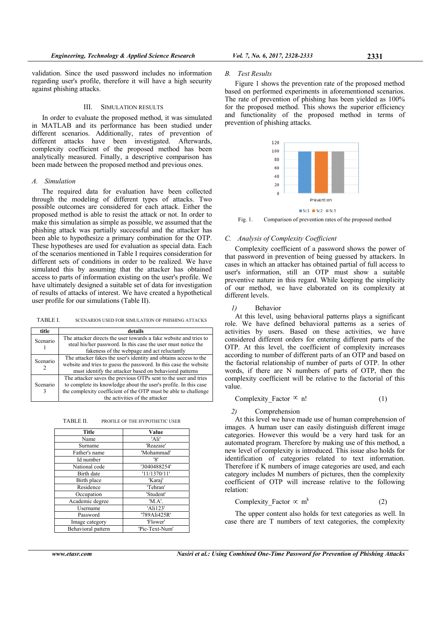validation. Since the used password includes no information regarding user's profile, therefore it will have a high security against phishing attacks.

## III. SIMULATION RESULTS

In order to evaluate the proposed method, it was simulated in MATLAB and its performance has been studied under different scenarios. Additionally, rates of prevention of different attacks have been investigated. Afterwards, complexity coefficient of the proposed method has been analytically measured. Finally, a descriptive comparison has been made between the proposed method and previous ones.

## *A. Simulation*

The required data for evaluation have been collected through the modeling of different types of attacks. Two possible outcomes are considered for each attack. Either the proposed method is able to resist the attack or not. In order to make this simulation as simple as possible, we assumed that the phishing attack was partially successful and the attacker has been able to hypothesize a primary combination for the OTP. These hypotheses are used for evaluation as special data. Each of the scenarios mentioned in Table I requires consideration for different sets of conditions in order to be realized. We have simulated this by assuming that the attacker has obtained access to parts of information existing on the user's profile. We have ultimately designed a suitable set of data for investigation of results of attacks of interest. We have created a hypothetical user profile for our simulations (Table II).

TABLE I. SCENARIOS USED FOR SIMULATION OF PHISHING ATTACKS

| title    | details                                                           |  |  |
|----------|-------------------------------------------------------------------|--|--|
| Scenario | The attacker directs the user towards a fake website and tries to |  |  |
|          | steal his/her password. In this case the user must notice the     |  |  |
|          | fakeness of the webpage and act reluctantly                       |  |  |
| Scenario | The attacker fakes the user's identity and obtains access to the  |  |  |
|          | website and tries to guess the password. In this case the website |  |  |
|          | must identify the attacker based on behavioral patterns           |  |  |
| Scenario | The attacker saves the previous OTPs sent to the user and tries   |  |  |
|          | to complete its knowledge about the user's profile. In this case  |  |  |
|          | the complexity coefficient of the OTP must be able to challenge   |  |  |
|          | the activities of the attacker                                    |  |  |

TABLE II. PROFILE OF THE HYPOTHETIC USER

| Title              | Value          |
|--------------------|----------------|
| Name               | 'Ali'          |
| Surname            | 'Reazaie'      |
| Father's name      | 'Mohammad'     |
| Id number          | '8'            |
| National code      | '3040488254'   |
| Birth date         | '11/1370/11'   |
| Birth place        | 'Karaj'        |
| Residence          | 'Tehran'       |
| Occupation         | 'Student'      |
| Academic degree    | 'M.A'.         |
| Username           | 'Ali123'       |
| Password           | '789Ali425R'   |
| Image category     | 'Flower'       |
| Behavioral pattern | 'Pic-Text-Num' |

#### *B. Test Results*

Figure 1 shows the prevention rate of the proposed method based on performed experiments in aforementioned scenarios. The rate of prevention of phishing has been yielded as 100% for the proposed method. This shows the superior efficiency and functionality of the proposed method in terms of prevention of phishing attacks.



 $Sc1$  Sc2 Sc3

Fig. 1. Comparison of prevention rates of the proposed method

## *C. Analysis of Complexity Coefficient*

Complexity coefficient of a password shows the power of that password in prevention of being guessed by attackers. In cases in which an attacker has obtained partial of full access to user's information, still an OTP must show a suitable preventive nature in this regard. While keeping the simplicity of our method, we have elaborated on its complexity at different levels.

#### *1)* Behavior

At this level, using behavioral patterns plays a significant role. We have defined behavioral patterns as a series of activities by users. Based on these activities, we have considered different orders for entering different parts of the OTP. At this level, the coefficient of complexity increases according to number of different parts of an OTP and based on the factorial relationship of number of parts of OTP. In other words, if there are N numbers of parts of OTP, then the complexity coefficient will be relative to the factorial of this value.

Complexity Factor 
$$
\infty
$$
 n! (1)

#### *2)* Comprehension

At this level we have made use of human comprehension of images. A human user can easily distinguish different image categories. However this would be a very hard task for an automated program. Therefore by making use of this method, a new level of complexity is introduced. This issue also holds for identification of categories related to text information. Therefore if K numbers of image categories are used, and each category includes M numbers of pictures, then the complexity coefficient of OTP will increase relative to the following relation:

Complexity Factor 
$$
\propto
$$
 m<sup>k</sup> (2)

The upper content also holds for text categories as well. In case there are T numbers of text categories, the complexity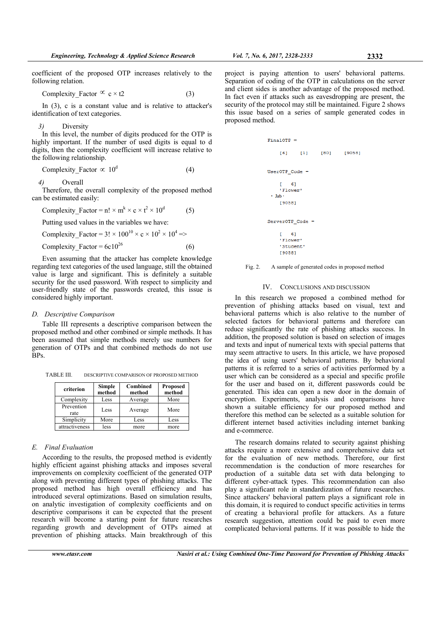coefficient of the proposed OTP increases relatively to the following relation.

Complexity\_Factor  $\infty$  c × t2 (3)

In (3), c is a constant value and is relative to attacker's identification of text categories.

# *3)* Diversity

In this level, the number of digits produced for the OTP is highly important. If the number of used digits is equal to d digits, then the complexity coefficient will increase relative to the following relationship.

Complexity Factor 
$$
\propto 10^d
$$
 (4)

*4)* Overall

Therefore, the overall complexity of the proposed method can be estimated easily:

Complexity Factor =  $n! \times m^k \times c \times t^2 \times 10^d$ (5)

Putting used values in the variables we have:

Complexity Factor =  $3! \times 100^{10} \times c \times 10^2 \times 10^4$  =>

Complexity\_Factor =  $6c10^{26}$  (6)

Even assuming that the attacker has complete knowledge regarding text categories of the used language, still the obtained value is large and significant. This is definitely a suitable security for the used password. With respect to simplicity and user-friendly state of the passwords created, this issue is considered highly important.

#### *D. Descriptive Comparison*

Table III represents a descriptive comparison between the proposed method and other combined or simple methods. It has been assumed that simple methods merely use numbers for generation of OTPs and that combined methods do not use BPs.

TABLE III. DESCRIPTIVE COMPARISON OF PROPOSED METHOD

| criterion          | <b>Simple</b><br>method | Combined<br>method | <b>Proposed</b><br>method |
|--------------------|-------------------------|--------------------|---------------------------|
| Complexity         | Less                    | Average            | More                      |
| Prevention<br>rate | Less                    | Average            | More                      |
| Simplicity         | More                    | Less               | Less                      |
| attractiveness     | less                    | more               | more                      |

## *E. Final Evaluation*

According to the results, the proposed method is evidently highly efficient against phishing attacks and imposes several improvements on complexity coefficient of the generated OTP along with preventing different types of phishing attacks. The proposed method has high overall efficiency and has introduced several optimizations. Based on simulation results, on analytic investigation of complexity coefficients and on descriptive comparisons it can be expected that the present research will become a starting point for future researches regarding growth and development of OTPs aimed at prevention of phishing attacks. Main breakthrough of this

project is paying attention to users' behavioral patterns. Separation of coding of the OTP in calculations on the server and client sides is another advantage of the proposed method. In fact even if attacks such as eavesdropping are present, the security of the protocol may still be maintained. Figure 2 shows this issue based on a series of sample generated codes in proposed method.

Fig. 2. A sample of generated codes in proposed method

## IV. CONCLUSIONS AND DISCUSSION

In this research we proposed a combined method for prevention of phishing attacks based on visual, text and behavioral patterns which is also relative to the number of selected factors for behavioral patterns and therefore can reduce significantly the rate of phishing attacks success. In addition, the proposed solution is based on selection of images and texts and input of numerical texts with special patterns that may seem attractive to users. In this article, we have proposed the idea of using users' behavioral patterns. By behavioral patterns it is referred to a series of activities performed by a user which can be considered as a special and specific profile for the user and based on it, different passwords could be generated. This idea can open a new door in the domain of encryption. Experiments, analysis and comparisons have shown a suitable efficiency for our proposed method and therefore this method can be selected as a suitable solution for different internet based activities including internet banking and e-commerce.

The research domains related to security against phishing attacks require a more extensive and comprehensive data set for the evaluation of new methods. Therefore, our first recommendation is the conduction of more researches for production of a suitable data set with data belonging to different cyber-attack types. This recommendation can also play a significant role in standardization of future researches. Since attackers' behavioral pattern plays a significant role in this domain, it is required to conduct specific activities in terms of creating a behavioral profile for attackers. As a future research suggestion, attention could be paid to even more complicated behavioral patterns. If it was possible to hide the